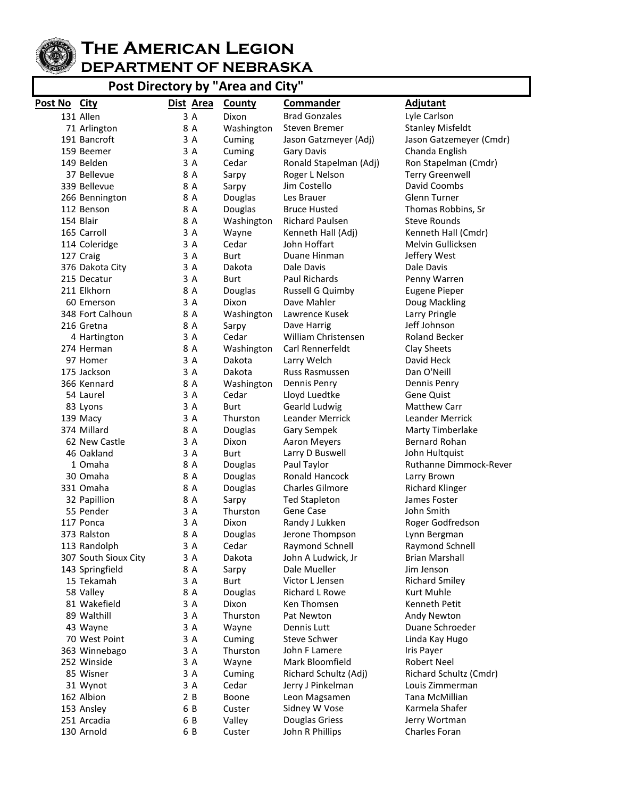

## **The American Legion DEPARTMENT OF NEBRASKA**

**Post Directory by "Area and City"**

| Post No City |                      | Dist Area | <b>County</b> | <b>Commander</b>       | <b>Adjutant</b>         |
|--------------|----------------------|-----------|---------------|------------------------|-------------------------|
|              | 131 Allen            | 3 A       | Dixon         | <b>Brad Gonzales</b>   | Lyle Carlson            |
|              | 71 Arlington         | 8 A       | Washington    | Steven Bremer          | <b>Stanley Misfeldt</b> |
|              | 191 Bancroft         | 3 A       | Cuming        | Jason Gatzmeyer (Adj)  | Jason Gatzemeyer (Cmdr) |
|              | 159 Beemer           | 3 A       | Cuming        | Gary Davis             | Chanda English          |
|              | 149 Belden           | 3 A       | Cedar         | Ronald Stapelman (Adj) | Ron Stapelman (Cmdr)    |
|              | 37 Bellevue          | 8 A       | Sarpy         | Roger L Nelson         | <b>Terry Greenwell</b>  |
|              | 339 Bellevue         | 8 A       | Sarpy         | Jim Costello           | David Coombs            |
|              | 266 Bennington       | 8 A       | Douglas       | Les Brauer             | Glenn Turner            |
|              | 112 Benson           | 8 A       | Douglas       | <b>Bruce Husted</b>    | Thomas Robbins, Sr      |
|              | 154 Blair            | 8 A       | Washington    | Richard Paulsen        | <b>Steve Rounds</b>     |
|              | 165 Carroll          | 3 A       | Wayne         | Kenneth Hall (Adj)     | Kenneth Hall (Cmdr)     |
|              | 114 Coleridge        | 3 A       | Cedar         | John Hoffart           | Melvin Gullicksen       |
|              | 127 Craig            | 3 A       | Burt          | Duane Hinman           | Jeffery West            |
|              | 376 Dakota City      | 3 A       | Dakota        | Dale Davis             | Dale Davis              |
|              | 215 Decatur          | 3 A       | Burt          | Paul Richards          | Penny Warren            |
|              | 211 Elkhorn          | 8 A       | Douglas       | Russell G Quimby       | <b>Eugene Pieper</b>    |
|              | 60 Emerson           | 3 A       | Dixon         | Dave Mahler            | Doug Mackling           |
|              | 348 Fort Calhoun     | 8 A       | Washington    | Lawrence Kusek         | Larry Pringle           |
|              | 216 Gretna           | 8 A       | Sarpy         | Dave Harrig            | Jeff Johnson            |
|              | 4 Hartington         | 3 A       | Cedar         | William Christensen    | Roland Becker           |
|              | 274 Herman           | 8 A       | Washington    | Carl Rennerfeldt       | Clay Sheets             |
|              | 97 Homer             | 3 A       | Dakota        | Larry Welch            | David Heck              |
|              | 175 Jackson          | 3 A       | Dakota        | Russ Rasmussen         | Dan O'Neill             |
|              | 366 Kennard          | 8 A       | Washington    | Dennis Penry           | Dennis Penry            |
|              | 54 Laurel            | 3 A       | Cedar         | Lloyd Luedtke          | <b>Gene Quist</b>       |
|              | 83 Lyons             | 3 A       | Burt          | Gearld Ludwig          | <b>Matthew Carr</b>     |
|              | 139 Macy             | 3 A       | Thurston      | <b>Leander Merrick</b> | <b>Leander Merrick</b>  |
|              | 374 Millard          | 8 A       | Douglas       | Gary Sempek            | Marty Timberlake        |
|              | 62 New Castle        | 3 A       | Dixon         | <b>Aaron Meyers</b>    | <b>Bernard Rohan</b>    |
|              | 46 Oakland           | 3 A       | Burt          | Larry D Buswell        | John Hultquist          |
|              | 1 Omaha              | 8 A       | Douglas       | Paul Taylor            | Ruthanne Dimmock-Rever  |
|              | 30 Omaha             | 8 A       | Douglas       | Ronald Hancock         | Larry Brown             |
|              | 331 Omaha            | 8 A       | Douglas       | Charles Gilmore        | <b>Richard Klinger</b>  |
|              | 32 Papillion         | 8 A       | Sarpy         | <b>Ted Stapleton</b>   | James Foster            |
|              | 55 Pender            | 3 A       | Thurston      | Gene Case              | John Smith              |
|              | 117 Ponca            | 3 A       | Dixon         | Randy J Lukken         | Roger Godfredson        |
|              | 373 Ralston          | 8 A       | Douglas       | Jerone Thompson        | Lynn Bergman            |
|              | 113 Randolph         | 3 A       | Cedar         | Raymond Schnell        | Raymond Schnell         |
|              | 307 South Sioux City | 3 A       | Dakota        | John A Ludwick, Jr     | <b>Brian Marshall</b>   |
|              | 143 Springfield      | 8 A       | Sarpy         | Dale Mueller           | Jim Jenson              |
|              | 15 Tekamah           | 3 A       | <b>Burt</b>   | Victor L Jensen        | <b>Richard Smiley</b>   |
|              | 58 Valley            | 8 A       | Douglas       | Richard L Rowe         | Kurt Muhle              |
|              | 81 Wakefield         | 3 A       | Dixon         | Ken Thomsen            | Kenneth Petit           |
|              | 89 Walthill          | 3 A       | Thurston      | Pat Newton             | Andy Newton             |
|              | 43 Wayne             | 3 A       | Wayne         | Dennis Lutt            | Duane Schroeder         |
|              | 70 West Point        | 3 A       | Cuming        | Steve Schwer           | Linda Kay Hugo          |
|              | 363 Winnebago        | 3 A       | Thurston      | John F Lamere          | Iris Payer              |
|              | 252 Winside          | 3 A       | Wayne         | Mark Bloomfield        | <b>Robert Neel</b>      |
|              | 85 Wisner            | 3 A       | Cuming        | Richard Schultz (Adj)  | Richard Schultz (Cmdr)  |
|              | 31 Wynot             | 3 A       | Cedar         | Jerry J Pinkelman      | Louis Zimmerman         |
|              | 162 Albion           | 2 B       | Boone         | Leon Magsamen          | Tana McMillian          |
|              | 153 Ansley           | 6 B       | Custer        | Sidney W Vose          | Karmela Shafer          |
|              | 251 Arcadia          | 6 B       | Valley        | Douglas Griess         | Jerry Wortman           |
|              | 130 Arnold           | 6 B       | Custer        | John R Phillips        | Charles Foran           |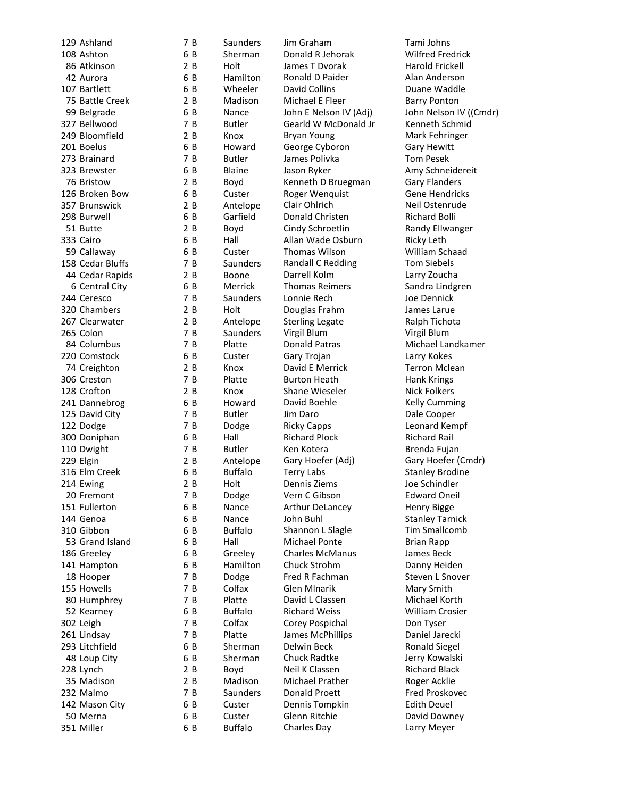| 129 Ashland                    |
|--------------------------------|
| 108 Ashton                     |
|                                |
| 86 Atkinson                    |
| 42 Aurora                      |
|                                |
| 107 Bartlett                   |
| 75 Battle Creek<br>99 Belgrade |
|                                |
| 327 Bellwood                   |
|                                |
| 249 Bloomfield                 |
| 201 Boelus                     |
| 273 Brainard                   |
|                                |
| 323 Brewster                   |
| 76 Bristow                     |
| 126 Broken Bow                 |
|                                |
| 357 Brunswick                  |
| 298 Burwell                    |
|                                |
| 51 Butte                       |
| 333 Cairo                      |
| 59 Callaway                    |
| 158 Cedar Bluffs               |
|                                |
| 44 Cedar Rapids                |
| 6 Central City                 |
|                                |
| 244 Ceresco                    |
| 320 Chambers                   |
| 267 Clearwater                 |
|                                |
| 265 Colon                      |
| 84 Columbus                    |
| 220 Comstock                   |
|                                |
| 74 Creighton                   |
| 306 Creston                    |
| 128 Crofton                    |
|                                |
| 115 Septembrog                 |
| 125 David City                 |
| 122 Dodge                      |
|                                |
| 300 Doniphan                   |
| 110 Dwight                     |
|                                |
| 229 Elgin                      |
| 316 Elm Creek                  |
| 214 Ewing                      |
|                                |
| 20 Fremont                     |
|                                |
|                                |
| 151 Fullerton                  |
| 144 Genoa                      |
| 310 Gibbon                     |
| 53 Grand Island                |
|                                |
| 186 Greeley                    |
| 141 Hampton                    |
| 18 Hooper                      |
|                                |
| 155 Howells                    |
| 80 Humphrey                    |
| 52 Kearney                     |
|                                |
| 302 Leigh                      |
| 261 Lindsay                    |
|                                |
| 293 Litchfield                 |
| 48 Loup City                   |
|                                |
| 228 Lynch<br>35 Madison        |
|                                |
| 232 Malmo                      |
| 142 Mason City                 |
| 50 Merna                       |
| 351 Miller                     |

Saunders Jim Graham Tami Johns

7

6 B

2 B

6

6

2 B

6

7

2 B

6

7

6

 $2B$ 

6

2 B

6

2 B

6

6

7

2 B

6

7

 $2B$ 

2 B

7

7 B

6

2 B

7 B

2 B

6

7

7

6

7

2 B

6

2 B

7

6

6

6

6

6

6

7

7

7

6

7 B

7 R

6

6

2 B

2 B

7 B

6

6

6

B Sherman Donald R Jehorak Wilfred Fredrick Holt James T Dvorak Harold Frickell Hamilton Ronald D Paider **Alan Anderson**<br>
Wheeler David Collins **Alang And Anderson** David Collins **Duane Waddle** Madison Michael E Fleer Barry Ponton Nance John E Nelson IV (Adj) John Nelson IV ((Cmdr) Butler Gearld W McDonald Jr Kenneth Schmid Knox Bryan Young Mark Fehringer Howard George Cyboron Gary Hewitt Butler James Polivka Tom Pesek Blaine Jason Ryker Many Schneidereit<br>Boyd Kenneth D Bruegman Gary Flanders Boyd Kenneth D Bruegman Custer Roger Wenquist Gene Hendricks Antelope Clair Ohlrich **Neil Ostenrude**<br>Garfield Donald Christen **Network** Richard Bolli Donald Christen Richard Bolli Boyd Cindy Schroetlin Randy Ellwanger Hall **Allan Wade Osburn** Ricky Leth Custer Thomas Wilson William Schaad Saunders Randall C Redding Tom Siebels Boone Darrell Kolm Larry Zoucha Merrick Thomas Reimers Sandra Lindgren Saunders Lonnie Rech Joe Dennick Holt **Douglas Frahm** James Larue Antelope Sterling Legate Ralph Tichota B Saunders Virgil Blum Virgil Blum Donald Patras Michael Landkamer Custer Gary Trojan Custer Larry Kokes Knox David E Merrick Terron Mclean Platte Burton Heath Hank Krings Knox Shane Wieseler Nick Folkers Howard David Boehle **Kelly Cumming** Butler Jim Daro Dale Cooper Dodge Ricky Capps Ricky Capps Ricky Capps Ricky Ricket Bennet Rempf Hall Richard Plock Richard Rail Butler Ken Kotera **Brenda Fujan** Antelope Gary Hoefer (Adj) Gary Hoefer (Cmdr) Buffalo Terry Labs Stanley Brodine B Holt Dennis Ziems Joe Schindler Dodge Vern C Gibson Edward Oneil Nance Arthur DeLancey Henry Bigge Nance John Buhl Stanley Tarnick Buffalo Shannon L Slagle Tim Smallcomb Hall Michael Ponte Brian Rapp Greeley Charles McManus James Beck<br>Hamilton Chuck Strohm – Danny Heid Hamilton Chuck Strohm Danny Heiden Dodge Fred R Fachman Steven L Snover Colfax Glen Mlnarik Mary Smith<br>
Platte David L Classen Michael Kor David L Classen Michael Korth Buffalo Richard Weiss Milliam Crosier Colfax Corey Pospichal Don Tyser Platte James McPhillips Daniel Jarecki Sherman Delwin Beck Ronald Siegel Sherman Chuck Radtke Jerry Kowalski Boyd Neil K Classen Richard Black Madison Michael Prather Roger Acklie Saunders Donald Proett Fred Proskovec Custer Dennis Tompkin Edith Deuel Custer Glenn Ritchie David Downey Buffalo Charles Day Larry Meyer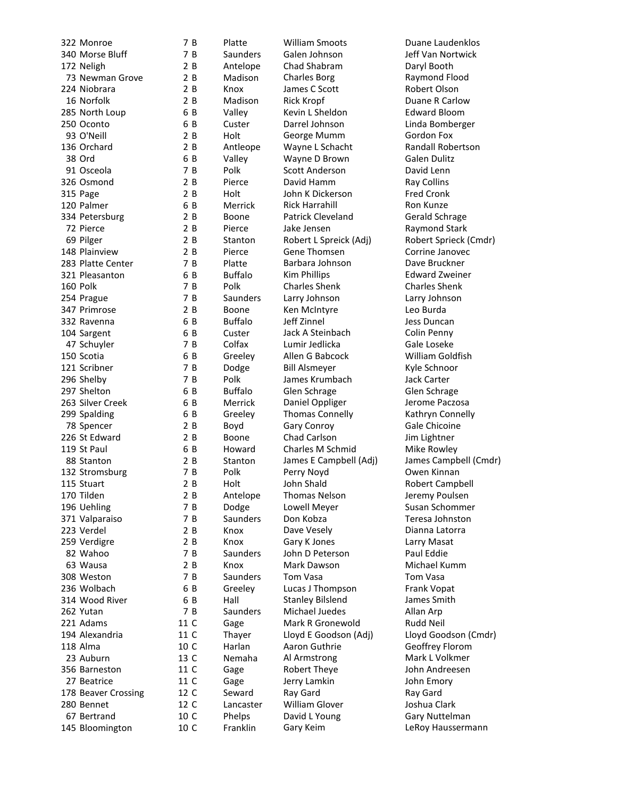| 322 Monroe          | 7 B  | Platte         | William Smoots          | Duane La         |
|---------------------|------|----------------|-------------------------|------------------|
| 340 Morse Bluff     | 7 B  | Saunders       | Galen Johnson           | Jeff Van N       |
| 172 Neligh          | 2B   | Antelope       | Chad Shabram            | Daryl Boo        |
| 73 Newman Grove     | 2 B  | Madison        | <b>Charles Borg</b>     | Raymond          |
| 224 Niobrara        | 2B   | Knox           | James C Scott           | Robert OI        |
| 16 Norfolk          | 2 B  | Madison        | <b>Rick Kropf</b>       | Duane R 0        |
| 285 North Loup      | 6 B  | Valley         | Kevin L Sheldon         | Edward B         |
| 250 Oconto          | 6 B  | Custer         | Darrel Johnson          | Linda Bon        |
| 93 O'Neill          | 2 B  | Holt           | George Mumm             | Gordon F         |
| 136 Orchard         | 2 B  | Antleope       | Wayne L Schacht         | Randall R        |
| 38 Ord              | 6 B  | Valley         | Wayne D Brown           | Galen Dul        |
| 91 Osceola          | 7 B  | Polk           | Scott Anderson          | David Len        |
| 326 Osmond          | 2 B  | Pierce         | David Hamm              | Ray Collin       |
| 315 Page            | 2 B  | Holt           | John K Dickerson        | <b>Fred Cron</b> |
| 120 Palmer          | 6 B  | Merrick        | <b>Rick Harrahill</b>   | Ron Kunz         |
| 334 Petersburg      | 2B   | Boone          | Patrick Cleveland       | Gerald Scl       |
| 72 Pierce           | 2B   | Pierce         | Jake Jensen             | Raymond          |
| 69 Pilger           | 2B   | Stanton        | Robert L Spreick (Adj)  | Robert Sp        |
| 148 Plainview       | 2B   | Pierce         | Gene Thomsen            | Corrine Ja       |
| 283 Platte Center   | 7 B  | Platte         | Barbara Johnson         | Dave Brud        |
| 321 Pleasanton      | 6 B  | <b>Buffalo</b> | <b>Kim Phillips</b>     | Edward Z         |
| 160 Polk            | 7 B  | Polk           | <b>Charles Shenk</b>    | Charles SI       |
| 254 Prague          | 7 B  | Saunders       | Larry Johnson           | Larry Johr       |
| 347 Primrose        | 2 B  | Boone          | Ken McIntyre            | Leo Burda        |
| 332 Ravenna         | 6 B  | <b>Buffalo</b> | Jeff Zinnel             | Jess Dunc        |
| 104 Sargent         | 6 B  | Custer         | Jack A Steinbach        | Colin Pen        |
| 47 Schuyler         | 7 B  | Colfax         | Lumir Jedlicka          | Gale Lose        |
| 150 Scotia          | 6 B  | Greeley        | Allen G Babcock         | William G        |
| 121 Scribner        | 7 B  | Dodge          | <b>Bill Alsmeyer</b>    | Kyle Schn        |
| 296 Shelby          | 7 B  | Polk           | James Krumbach          | Jack Carte       |
| 297 Shelton         | 6 B  | <b>Buffalo</b> | Glen Schrage            | Glen Schr        |
| 263 Silver Creek    | 6 B  | Merrick        | Daniel Oppliger         | Jerome Pa        |
| 299 Spalding        | 6 B  | Greeley        | <b>Thomas Connelly</b>  | Kathryn C        |
| 78 Spencer          | 2 B  | Boyd           | Gary Conroy             | Gale Chico       |
| 226 St Edward       | 2B   | Boone          | Chad Carlson            | Jim Lightr       |
| 119 St Paul         | 6 B  | Howard         | Charles M Schmid        | Mike Row         |
| 88 Stanton          | 2 B  | Stanton        | James E Campbell (Adj)  | James Car        |
| 132 Stromsburg      | 7 B  | Polk           | Perry Noyd              | Owen Kin         |
| 115 Stuart          | 2B   | Holt           | John Shald              | Robert Ca        |
| 170 Tilden          | 2 B  | Antelope       | Thomas Nelson           | Jeremy Po        |
| 196 Uehling         | 7 B  | Dodge          | Lowell Meyer            | Susan Sch        |
| 371 Valparaiso      | 7 B  | Saunders       | Don Kobza               | Teresa Jol       |
| 223 Verdel          | 2 B  | Knox           | Dave Vesely             | Dianna La        |
| 259 Verdigre        | 2 B  | Knox           | Gary K Jones            | Larry Mas        |
| 82 Wahoo            | 7B   | Saunders       | John D Peterson         | Paul Eddie       |
| 63 Wausa            | 2 B  | Knox           | Mark Dawson             | Michael K        |
| 308 Weston          | 7 B  | Saunders       | Tom Vasa                | <b>Tom Vasa</b>  |
| 236 Wolbach         | 6 B  | Greeley        | Lucas J Thompson        | Frank Vop        |
| 314 Wood River      | 6 B  | Hall           | <b>Stanley Bilslend</b> | James Sm         |
| 262 Yutan           | 7 B  | Saunders       | Michael Juedes          | Allan Arp        |
| 221 Adams           | 11 C | Gage           | Mark R Gronewold        | <b>Rudd Neil</b> |
| 194 Alexandria      | 11 C | Thayer         | Lloyd E Goodson (Adj)   | Lloyd Goc        |
| 118 Alma            | 10 C | Harlan         | Aaron Guthrie           | Geoffrey I       |
| 23 Auburn           | 13 C | Nemaha         | Al Armstrong            | Mark L Vo        |
| 356 Barneston       | 11 C | Gage           | Robert Theye            | John Andı        |
| 27 Beatrice         | 11 C | Gage           | Jerry Lamkin            | John Emo         |
| 178 Beaver Crossing | 12 C | Seward         | Ray Gard                | Ray Gard         |
| 280 Bennet          | 12 C | Lancaster      | William Glover          | Joshua Cla       |
| 67 Bertrand         | 10 C | Phelps         | David L Young           | <b>Gary Nutt</b> |
| 145 Bloomington     | 10 C | Franklin       | Gary Keim               | LeRoy Har        |

322 Monroe 7 B Platte William Smoots Duane Laudenklos 340 Morse Bluff 7 B Saunders Galen Johnson Jeff Van Nortwick 2 B Antelope Chad Shabram Daryl Booth 2 B Madison Charles Borg **Raymond Flood**<br>2 B Knox James C Scott **Robert Olson** 224 Niobrara 2 B Knox James C Scott Robert Olson 2 B Madison Rick Kropf **Duane R Carlow** 6 B Valley Kevin L Sheldon Edward Bloom 6 B Custer Darrel Johnson Linda Bomberger 2 B Holt George Mumm Gordon Fox 2 B Antleope Wayne L Schacht Randall Robertson 6 B Valley Wayne D Brown Galen Dulitz Polk Scott Anderson **Scott Anderson** David Lenn<br>1918 Pierce David Hamm David Hamm Ray Collins 2 B Holt John K Dickerson Fred Cronk 120 120 Palmer Falmer 6 B Merrick Rick Harrahill Ron Kunze<br>120 Boone Patrick Cleveland Gerald Sch Boone Patrick Cleveland Gerald Schrage 2 B Pierce Jake Jensen Raymond Stark 2 B Pierce Gene Thomsen Corrine Janovec 283 Platte Center 7 B Platte Barbara Johnson Dave Bruckner 6 B Buffalo Kim Phillips **Edward Zweiner** 160 Polk 7 B Polk Charles Shenk Charles Shenk 2 B Saunders Larry Johnson Larry Johnson<br>2 B Boone Ken McIntvre Leo Burda Boone Ken McIntyre **Leo Burda** 6 B Buffalo Jeff Zinnel Jess Duncan 104 Sargent Guster Steinbach Colin Penny<br>104 Sargent Colfax Lumir Jedlicka Cale Loseke Colfax Lumir Jedlicka Gale Loseke 6 B Greeley Allen G Babcock William Goldfish 7 B Dodge Bill Alsmeyer Kyle Schnoor 296 Shelby 7 B Polk James Krumbach Jack Carter 6 B Buffalo Glen Schrage Glen Schrage 6 B Merrick Daniel Oppliger Jerome Paczosa 6 B Greeley Thomas Connelly Kathryn Connelly 2 B Boyd Gary Conroy Gale Chicoine<br>2 B Boone Chad Carlson Sim Lightner **226 Boone** Chad Carlson **Chad Carlson** Jim Lightner 6 B Howard Charles M Schmid Mike Rowley Perry Noyd **Carlo 2 B Polyon Cowen Kinnan** 2 B Holt John Shald **Robert Campbell** 2 B Antelope Thomas Nelson Jeremy Poulsen 7 B Dodge Lowell Meyer Susan Schommer 7 B Saunders Don Kobza Teresa Johnston 2 B Knox Dave Vesely Dianna Latorra 2 B Knox Gary K Jones Larry Masat 82 The Saunders John D Peterson Saul Eddie<br>12 B Knox Mark Dawson Nichael Ku Knox Mark Dawson Michael Kumm 6 B Greeley Lucas J Thompson Frank Vopat<br>1988 Hall Stanley Bilslend James Smith 7 B Saunders Michael Juedes Allan Arp 11 C Gage Mark R Gronewold Rudd Neil 10 C Harlan Aaron Guthrie Geoffrey Florom 13 C Nemaha Al Armstrong Mark L Volkmer 11 C Gage Robert Theye John Andreesen 11 C Gage Jerry Lamkin John Emory 12 C Lancaster William Glover Joshua Clark 10 C Phelps David L Young Cary Nuttelman<br>10 C Franklin Gary Keim Gary LeRoy Hausserm Franklin Gary Keim LeRoy Haussermann

2 B Stanton Robert L Spreick (Adj) Robert Sprieck (Cmdr) 2 B Stanton James E Campbell (Adj) James Campbell (Cmdr)<br>2 B Polk Perry Noyd Doven Kinnan 11 C Thayer Lloyd E Goodson (Adj) Lloyd Goodson (Cmdr)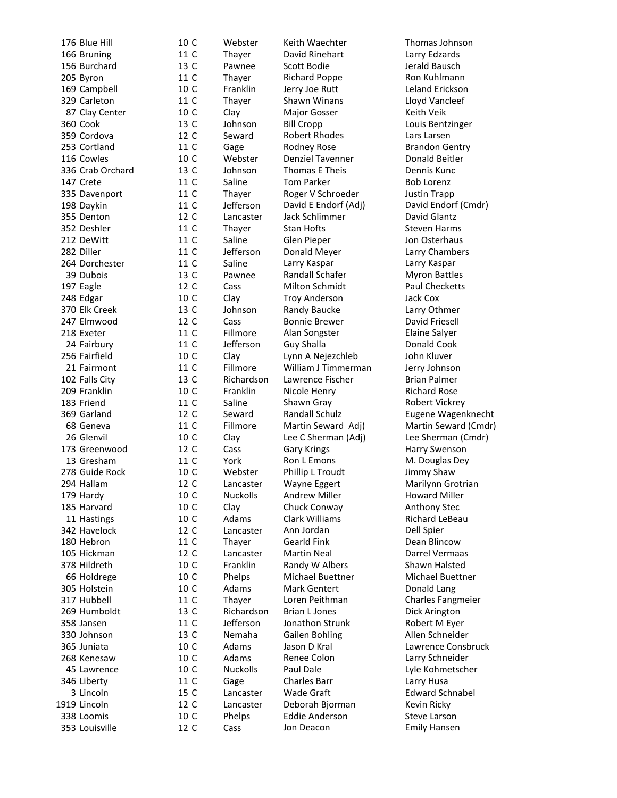| 176 Blue Hill    | 10 C            |              |
|------------------|-----------------|--------------|
| 166 Bruning      | 11 C<br>13 C    |              |
| 156 Burchard     |                 |              |
| 205 Byron        | 11 C<br>10 C    |              |
| 169 Campbell     |                 |              |
| 329 Carleton     | 11 <sup>C</sup> |              |
| 87 Clay Center   | 10 C            |              |
| 360 Cook         | 13 C            |              |
| 359 Cordova      | 12 C            |              |
| 253 Cortland     | 11 C            |              |
| 116 Cowles       | 10 C            |              |
| 336 Crab Orchard | 13 C            |              |
| 147 Crete        | 11 C            |              |
| 335 Davenport    | 11 C            |              |
|                  | 11 C            |              |
| 198 Daykin       |                 |              |
| 355 Denton       | 12 C            |              |
| 352 Deshler      | 11 C            |              |
| 212 DeWitt       | 11 <sup>C</sup> |              |
| 282 Diller       | 11 C            |              |
| 264 Dorchester   | 11 C            |              |
| 39 Dubois        | 13 C            |              |
| 197 Eagle        | 12 C            |              |
| 248 Edgar        | 10 C            |              |
| 370 Elk Creek    | 13 C            |              |
| 247 Elmwood      | 12 C            |              |
| 218 Exeter       | 11 C            |              |
| 24 Fairbury      | 11 C            |              |
| 256 Fairfield    | 10 C            |              |
| 21 Fairmont      | 11 C            |              |
| 102 Falls City   | 13 C            |              |
| 209 Franklin     | 10 C            |              |
| 183 Friend       | 11 C            |              |
| 369 Garland      | 12 C            |              |
| 68 Geneva        | 11 C            |              |
| 26 Glenvil       | 10 C            |              |
| 173 Greenwood    | 12 C            |              |
| 13 Gresham       | 11 C            |              |
| 278 Guide Rock   | 10 C            |              |
| 294 Hallam       | 12              | $\mathsf{C}$ |
| 179 Hardy        | 10 C            |              |
| 185 Harvard      | 10 C            |              |
| 11 Hastings      |                 |              |
| 342 Havelock     | 10 C<br>12 C    |              |
| 180 Hebron       | 11 C            |              |
| 105 Hickman      | 12 C            |              |
|                  |                 |              |
| 378 Hildreth     | 10 C            |              |
| 66 Holdrege      | 10 C            |              |
| 305 Holstein     | 10 C            |              |
| 317 Hubbell      | 11 C            |              |
| 269 Humboldt     | 13 C            |              |
| 358 Jansen       | 11 C            |              |
| 330 Johnson      | 13 C            |              |
| 365 Juniata      | 10 C            |              |
| 268 Kenesaw      | 10 C            |              |
| 45 Lawrence      | 10 C            |              |
| 346 Liberty      | 11 C            |              |
| 3 Lincoln        | 15 C            |              |
| 1919 Lincoln     | 12 C            |              |
| 338 Loomis       | 10 C            |              |
| 353 Louisville   | 12 C            |              |

11 C Thayer David Rinehart Larry Edzards 13 C Pawnee Scott Bodie **Jerald Bausch** 11 C Thayer Richard Poppe Ron Kuhlmann<br>10 C Franklin Jerry Joe Rutt Leland Erickson 11 C Thayer Shawn Winans Lloyd Vancleef 10 C Clay Major Gosser Keith Veik 13 C Johnson Bill Cropp Louis Bentzinger 12 C Seward Robert Rhodes Lars Larsen 11 C Gage Rodney Rose Brandon Gentry 10 C Webster Denziel Tavenner Donald Beitler 13 C Johnson Thomas E Theis Dennis Kunc 11 C Saline Tom Parker Bob Lorenz 11 C Thayer Roger V Schroeder Justin Trapp 11 C Jefferson David E Endorf (Adj) David Endorf (Cmdr)<br>12 C Lancaster Jack Schlimmer David Glantz 11 C Thayer Stan Hofts Steven Harms 11 C Saline Glen Pieper Jon Osterhaus 11 C Jefferson Donald Meyer Larry Chambers 11 C Saline Larry Kaspar Larry Kaspar 13 C Pawnee Randall Schafer Myron Battles 12 C Cass Milton Schmidt Paul Checketts 10 C Clay Troy Anderson 13 C Jack Cox<br>
13 C Johnson Randy Baucke 13 C Larry Oth 13 C Johnson Randy Baucke Larry Othmer 12 C Cass Bonnie Brewer David Friesell C Fillmore Alan Songster Elaine Salyer 10 C Clay Lynn A Nejezchleb John Kluver 11 C Fillmore William J Timmerman Jerry Johnson<br>13 C Richardson Lawrence Fischer Brian Palmer 13 C Richardson Lawrence Fischer Brian Palmer 10 C Franklin Nicole Henry Richard Rose 11 C Saline Shawn Gray Shawn Robert Vickrey 12 C Seward Randall Schulz Eugene Wagenknecht 11 C Fillmore Martin Seward Adj) Martin Seward (Cmdr)<br>10 C Clav Lee C Sherman (Adi) Lee Sherman (Cmdr) 12 C Cass Gary Krings Harry Swenson 11 C York Ron L Emons M. Douglas Dey<br>10 C Webster Phillip L Troudt Jimmy Shaw 12 C Lancaster Wayne Eggert Marilynn Grotrian 10 C Nuckolls Andrew Miller Howard Miller 10 C Clay Chuck Conway Chuck Anthony Stec 10 C Adams Clark Williams Richard LeBeau 12 C Lancaster Ann Jordan Dell Spier 11 C Thayer Gearld Fink Dean Blincow 12 C Lancaster Martin Neal **Darrel Vermaas**<br>10 C Franklin Randy W Albers Shawn Halsted 10 C Phelps Michael Buettner Michael Buettner 10 C Adams Mark Gentert **Donald Lang<br>11 C Thaver Loren Peithman** Charles Fang 13 C Richardson Brian L Jones Dick Arington 11 C Jefferson Jonathon Strunk Robert M Eyer 13 C Nemaha Gailen Bohling Allen Schneider C Adams Jason D Kral Lawrence Consbruck 10 C Adams Renee Colon Larry Schneider 10 C Nuckolls Paul Dale **Lyle Kohmetscher** 11 C Gage Charles Barr Larry Husa 15 C Lancaster Wade Graft **Edward Schnabel** 12 C Lancaster Deborah Bjorman Kevin Ricky 10 C Phelps Eddie Anderson Steve Larson<br>12 C Cass Jon Deacon Semily Hansen

Webster Keith Waechter Thomas Johnson Franklin Jerry Joe Rutt Leland Erickson Lancaster Jack Schlimmer David Glantz Jefferson Guy Shalla **Donald Cook** Clay Lee C Sherman (Adj) Lee Sherman (Cmdr) Webster Phillip L Troudt Jimmy Shaw Franklin Randy W Albers Shawn Halsted Thayer Loren Peithman Charles Fangmeier Cass Jon Deacon **Emily Hansen**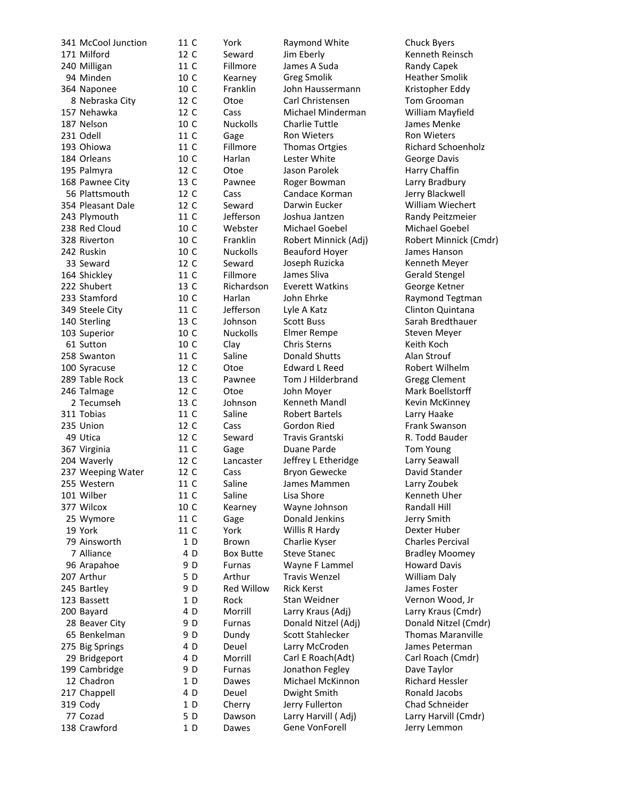341 McCool Junction 11 C 171 Milford 12 C 240 Milligan 11 C 94 Minden 10 C<br>164 Naponee 10 C 364 Naponee 8 Nebraska City 12 C 157 Nehawka 12 C 187 Nelson 10 C 231 Odell 11 C 193 Ohiowa 11 184 Orleans 10 C 195 Palmyra 12 168 Pawnee City 13 C 56 Plattsmouth 12 354 Pleasant Dale 12 C<br>243 Plymouth 11 C 243 Plymouth 238 Red Cloud 10 C 328 Riverton 10 C 242 Ruskin 10 C 33 Seward 12 C 164 Shickley 11 C 222 Shubert 13 C 233 Stamford 10 C 349 Steele City 11 C 140 Sterling 13 C 103 Superior 10 C<br>61 Sutton 10 C 61 Sutton 258 Swanton 11 C 100 Syracuse 12 C 289 Table Rock 13 C 246 Talmage 12 C 2 Tecumseh 13 C 311 Tobias 11 C 235 Union 12 C 49 Utica 12 C 367 Virginia 11 204 Waverly 12 C<br>237 Weeping Water 12 C 237 Weeping Water 255 Western 11 C 101 Wilber 11 C 377 Wilcox 10 C 25 Wymore 11 C 19 York 11 C 79 Ainsworth 7 Alliance 96 Arapahoe 207 Arthur 245 Bartley 123 Bassett 200 Bayard 28 Beaver City 65 Benkelman 275 Big Springs 29 Bridgeport 199 Cambridge 12 Chadron 217 Chappell 319 Cody 77 Cozad 138 Crawford

Seward Jim Eberly **Communist Contract Contract Contract Contract Contract Contract Contract Contract Contract Contract Contract Contract Contract Contract Contract Contract Contract Contract Contract Contract Contract Cont** Fillmore James A Suda Randy Capek Kearney Greg Smolik Heather Smolik Franklin John Haussermann Kristopher Eddy Otoe Carl Christensen Tom Grooman Cass Michael Minderman William Mayfield C Nuckolls Charlie Tuttle James Menke Gage Ron Wieters Ron Wieters Harlan Lester White George Davis Otoe Jason Parolek Harry Chaffin<br>
Pawnee Roger Bowman Larry Bradbur Cass Candace Korman Jerry Blackwell Seward Darwin Eucker Milliam Wiechert<br>
Services Deshita Jantzen Bandy Peitzmeier Webster Michael Goebel Michael Goebel C Nuckolls Beauford Hoyer James Hanson Seward Joseph Ruzicka Kenneth Meyer Fillmore James Sliva Gerald Stengel Richardson Everett Watkins George Ketner Johnson Scott Buss Sarah Bredthauer Nuckolls Elmer Rempe Steven Meyer Clay Chris Sterns Keith Koch Saline **Donald Shutts** Alan Strouf Otoe **Edward L Reed** Robert Wilhelm Pawnee Tom J Hilderbrand Gregg Clement Otoe John Moyer **Mark Boellstorff** Johnson Kenneth Mandl Kevin McKinney Saline Robert Bartels **Larry Haake** Cass Gordon Ried Frank Swanson<br>
Seward Travis Grantski K. Todd Bauder Gage Duane Parde **Tom Young** Lancaster Jeffrey L Etheridge Larry Seawall Cass Bryon Gewecke David Stander Saline James Mammen Larry Zoubek Saline Lisa Shore Charles Kenneth Uher Kearney Wayne Johnson Randall Hill C Gage Donald Jenkins Jerry Smith York Willis R Hardy Brown Charlie Kyser Charles Percival Box Butte Steve Stanec Bradley Moomey Furnas Wayne F Lammel Howard Davis Arthur Travis Wenzel **William Daly** Red Willow Rick Kerst **Names Foster** Rock Stan Weidner Vernon Wood, Jr Deuel Larry McCroden James Peterman Furnas Jonathon Fegley Dave Taylor Dawes Michael McKinnon Richard Hessler<br>Deuel Dwight Smith Ronald Jacobs Deuel Dwight Smith Cherry Jerry Fullerton Chad Schneider Dawes Gene VonForell Jerry Lemmon

1

4 D

9<sub>D</sub>

5

9 D

1

4 D

9<sub>D</sub>

9<sub>D</sub>

4 D

4 D

9 D

1

4 D

1

5

1

York Raymond White Chuck Byers Fillmore Thomas Ortgies Richard Schoenholz Roger Bowman Larry Bradbury Joshua Jantzen Randy Peitzmeier Franklin Robert Minnick (Adj) Robert Minnick (Cmdr) Harlan John Ehrke **Raymond Tegtman**<br>Jefferson Lyle A Katz **Clinton Quintana** Lyle A Katz **Clinton Quintana** Travis Grantski R. Todd Bauder Morrill Larry Kraus (Adj) Larry Kraus (Cmdr) D Furnas Donald Nitzel (Adj) Donald Nitzel (Cmdr) Dundy Scott Stahlecker Thomas Maranville Morrill Carl E Roach(Adt) Carl Roach (Cmdr) Dawson Larry Harvill (Adj) Larry Harvill (Cmdr)